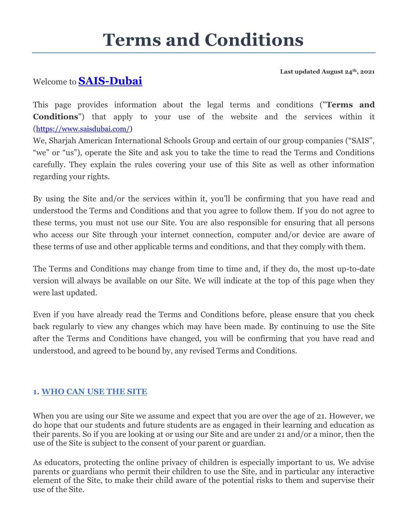# **Terms and Conditions**

**Last updated August 24th, 2021**

# Welcome to **[SAIS-Dubai](https://www.saisdubai.com/)**

This page provides information about the legal terms and conditions ("**Terms and Conditions**") that apply to your use of the website and the services within it ([https://www.saisdubai.com/\)](https://www.saisdubai.com/)

We, Sharjah American International Schools Group and certain of our group companies ("SAIS", "we" or "us"), operate the Site and ask you to take the time to read the Terms and Conditions carefully. They explain the rules covering your use of this Site as well as other information regarding your rights.

By using the Site and/or the services within it, you'll be confirming that you have read and understood the Terms and Conditions and that you agree to follow them. If you do not agree to these terms, you must not use our Site. You are also responsible for ensuring that all persons who access our Site through your internet connection, computer and/or device are aware of these terms of use and other applicable terms and conditions, and that they comply with them.

The Terms and Conditions may change from time to time and, if they do, the most up-to-date version will always be available on our Site. We will indicate at the top of this page when they were last updated.

Even if you have already read the Terms and Conditions before, please ensure that you check back regularly to view any changes which may have been made. By continuing to use the Site after the Terms and Conditions have changed, you will be confirming that you have read and understood, and agreed to be bound by, any revised Terms and Conditions.

# **1. WHO CAN USE THE SITE**

When you are using our Site we assume and expect that you are over the age of 21. However, we do hope that our students and future students are as engaged in their learning and education as their parents. So if you are looking at or using our Site and are under 21 and/or a minor, then the use of the Site is subject to the consent of your parent or guardian.

As educators, protecting the online privacy of children is especially important to us. We advise parents or guardians who permit their children to use the Site, and in particular any interactive element of the Site, to make their child aware of the potential risks to them and supervise their use of the Site.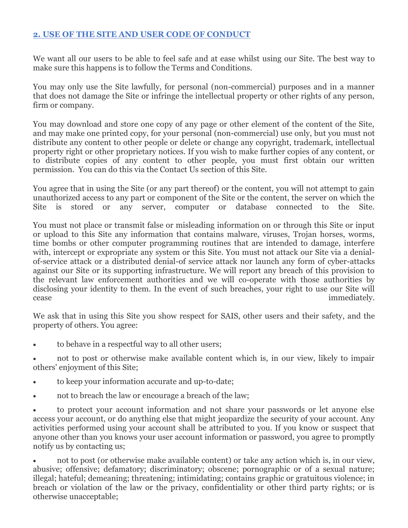# **2. USE OF THE SITE AND USER CODE OF CONDUCT**

We want all our users to be able to feel safe and at ease whilst using our Site. The best way to make sure this happens is to follow the Terms and Conditions.

You may only use the Site lawfully, for personal (non-commercial) purposes and in a manner that does not damage the Site or infringe the intellectual property or other rights of any person, firm or company.

You may download and store one copy of any page or other element of the content of the Site, and may make one printed copy, for your personal (non-commercial) use only, but you must not distribute any content to other people or delete or change any copyright, trademark, intellectual property right or other proprietary notices. If you wish to make further copies of any content, or to distribute copies of any content to other people, you must first obtain our written permission. You can do this via the Contact Us section of this Site.

You agree that in using the Site (or any part thereof) or the content, you will not attempt to gain unauthorized access to any part or component of the Site or the content, the server on which the Site is stored or any server, computer or database connected to the Site.

You must not place or transmit false or misleading information on or through this Site or input or upload to this Site any information that contains malware, viruses, Trojan horses, worms, time bombs or other computer programming routines that are intended to damage, interfere with, intercept or expropriate any system or this Site. You must not attack our Site via a denialof-service attack or a distributed denial-of service attack nor launch any form of cyber-attacks against our Site or its supporting infrastructure. We will report any breach of this provision to the relevant law enforcement authorities and we will co-operate with those authorities by disclosing your identity to them. In the event of such breaches, your right to use our Site will cease immediately.

We ask that in using this Site you show respect for SAIS, other users and their safety, and the property of others. You agree:

to behave in a respectful way to all other users;

 not to post or otherwise make available content which is, in our view, likely to impair others' enjoyment of this Site;

- to keep your information accurate and up-to-date;
- not to breach the law or encourage a breach of the law;

 to protect your account information and not share your passwords or let anyone else access your account, or do anything else that might jeopardize the security of your account. Any activities performed using your account shall be attributed to you. If you know or suspect that anyone other than you knows your user account information or password, you agree to promptly notify us by contacting us;

 not to post (or otherwise make available content) or take any action which is, in our view, abusive; offensive; defamatory; discriminatory; obscene; pornographic or of a sexual nature; illegal; hateful; demeaning; threatening; intimidating; contains graphic or gratuitous violence; in breach or violation of the law or the privacy, confidentiality or other third party rights; or is otherwise unacceptable;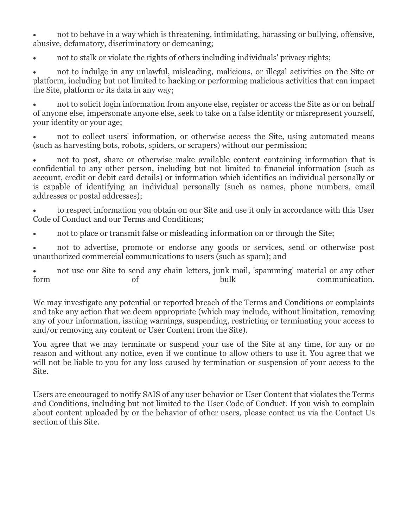not to behave in a way which is threatening, intimidating, harassing or bullying, offensive, abusive, defamatory, discriminatory or demeaning;

not to stalk or violate the rights of others including individuals' privacy rights;

 not to indulge in any unlawful, misleading, malicious, or illegal activities on the Site or platform, including but not limited to hacking or performing malicious activities that can impact the Site, platform or its data in any way;

 not to solicit login information from anyone else, register or access the Site as or on behalf of anyone else, impersonate anyone else, seek to take on a false identity or misrepresent yourself, your identity or your age;

 not to collect users' information, or otherwise access the Site, using automated means (such as harvesting bots, robots, spiders, or scrapers) without our permission;

 not to post, share or otherwise make available content containing information that is confidential to any other person, including but not limited to financial information (such as account, credit or debit card details) or information which identifies an individual personally or is capable of identifying an individual personally (such as names, phone numbers, email addresses or postal addresses);

 to respect information you obtain on our Site and use it only in accordance with this User Code of Conduct and our Terms and Conditions;

not to place or transmit false or misleading information on or through the Site;

 not to advertise, promote or endorse any goods or services, send or otherwise post unauthorized commercial communications to users (such as spam); and

 not use our Site to send any chain letters, junk mail, 'spamming' material or any other form of of bulk communication.

We may investigate any potential or reported breach of the Terms and Conditions or complaints and take any action that we deem appropriate (which may include, without limitation, removing any of your information, issuing warnings, suspending, restricting or terminating your access to and/or removing any content or User Content from the Site).

You agree that we may terminate or suspend your use of the Site at any time, for any or no reason and without any notice, even if we continue to allow others to use it. You agree that we will not be liable to you for any loss caused by termination or suspension of your access to the Site.

Users are encouraged to notify SAIS of any user behavior or User Content that violates the Terms and Conditions, including but not limited to the User Code of Conduct. If you wish to complain about content uploaded by or the behavior of other users, please contact us via the Contact Us section of this Site.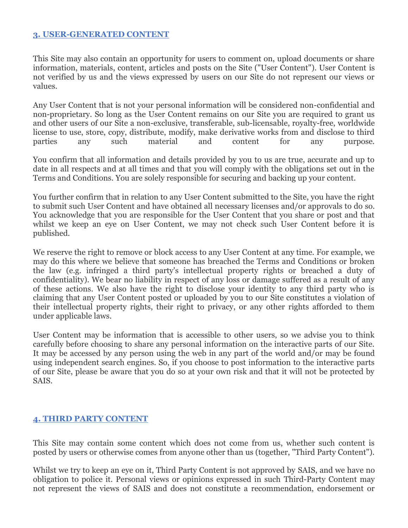#### **3. USER-GENERATED CONTENT**

This Site may also contain an opportunity for users to comment on, upload documents or share information, materials, content, articles and posts on the Site ("User Content"). User Content is not verified by us and the views expressed by users on our Site do not represent our views or values.

Any User Content that is not your personal information will be considered non-confidential and non-proprietary. So long as the User Content remains on our Site you are required to grant us and other users of our Site a non-exclusive, transferable, sub-licensable, royalty-free, worldwide license to use, store, copy, distribute, modify, make derivative works from and disclose to third parties any such material and content for any purpose.

You confirm that all information and details provided by you to us are true, accurate and up to date in all respects and at all times and that you will comply with the obligations set out in the Terms and Conditions. You are solely responsible for securing and backing up your content.

You further confirm that in relation to any User Content submitted to the Site, you have the right to submit such User Content and have obtained all necessary licenses and/or approvals to do so. You acknowledge that you are responsible for the User Content that you share or post and that whilst we keep an eye on User Content, we may not check such User Content before it is published.

We reserve the right to remove or block access to any User Content at any time. For example, we may do this where we believe that someone has breached the Terms and Conditions or broken the law (e.g. infringed a third party's intellectual property rights or breached a duty of confidentiality). We bear no liability in respect of any loss or damage suffered as a result of any of these actions. We also have the right to disclose your identity to any third party who is claiming that any User Content posted or uploaded by you to our Site constitutes a violation of their intellectual property rights, their right to privacy, or any other rights afforded to them under applicable laws.

User Content may be information that is accessible to other users, so we advise you to think carefully before choosing to share any personal information on the interactive parts of our Site. It may be accessed by any person using the web in any part of the world and/or may be found using independent search engines. So, if you choose to post information to the interactive parts of our Site, please be aware that you do so at your own risk and that it will not be protected by SAIS.

#### **4. THIRD PARTY CONTENT**

This Site may contain some content which does not come from us, whether such content is posted by users or otherwise comes from anyone other than us (together, "Third Party Content").

Whilst we try to keep an eye on it, Third Party Content is not approved by SAIS, and we have no obligation to police it. Personal views or opinions expressed in such Third-Party Content may not represent the views of SAIS and does not constitute a recommendation, endorsement or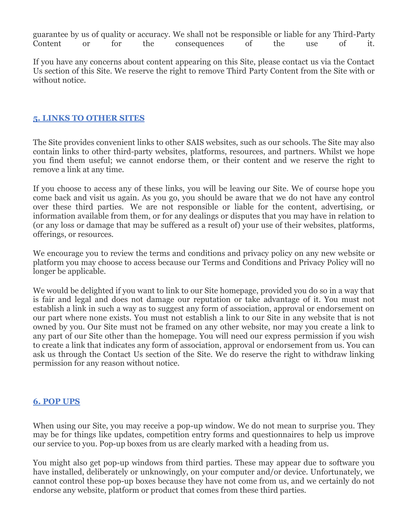guarantee by us of quality or accuracy. We shall not be responsible or liable for any Third-Party Content or for the consequences of the use of it.

If you have any concerns about content appearing on this Site, please contact us via the Contact Us section of this Site. We reserve the right to remove Third Party Content from the Site with or without notice.

#### **5. LINKS TO OTHER SITES**

The Site provides convenient links to other SAIS websites, such as our schools. The Site may also contain links to other third-party websites, platforms, resources, and partners. Whilst we hope you find them useful; we cannot endorse them, or their content and we reserve the right to remove a link at any time.

If you choose to access any of these links, you will be leaving our Site. We of course hope you come back and visit us again. As you go, you should be aware that we do not have any control over these third parties. We are not responsible or liable for the content, advertising, or information available from them, or for any dealings or disputes that you may have in relation to (or any loss or damage that may be suffered as a result of) your use of their websites, platforms, offerings, or resources.

We encourage you to review the terms and conditions and privacy policy on any new website or platform you may choose to access because our Terms and Conditions and Privacy Policy will no longer be applicable.

We would be delighted if you want to link to our Site homepage, provided you do so in a way that is fair and legal and does not damage our reputation or take advantage of it. You must not establish a link in such a way as to suggest any form of association, approval or endorsement on our part where none exists. You must not establish a link to our Site in any website that is not owned by you. Our Site must not be framed on any other website, nor may you create a link to any part of our Site other than the homepage. You will need our express permission if you wish to create a link that indicates any form of association, approval or endorsement from us. You can ask us through the Contact Us section of the Site. We do reserve the right to withdraw linking permission for any reason without notice.

# **6. POP UPS**

When using our Site, you may receive a pop-up window. We do not mean to surprise you. They may be for things like updates, competition entry forms and questionnaires to help us improve our service to you. Pop-up boxes from us are clearly marked with a heading from us.

You might also get pop-up windows from third parties. These may appear due to software you have installed, deliberately or unknowingly, on your computer and/or device. Unfortunately, we cannot control these pop-up boxes because they have not come from us, and we certainly do not endorse any website, platform or product that comes from these third parties.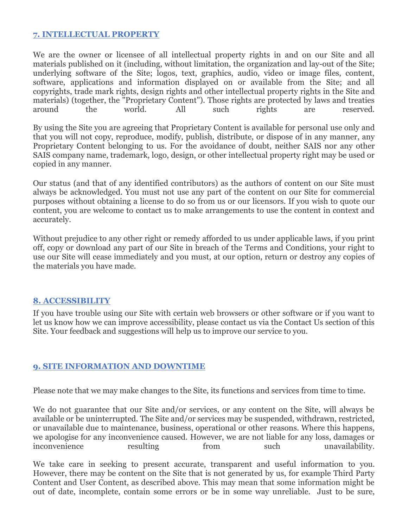#### **7. INTELLECTUAL PROPERTY**

We are the owner or licensee of all intellectual property rights in and on our Site and all materials published on it (including, without limitation, the organization and lay-out of the Site; underlying software of the Site; logos, text, graphics, audio, video or image files, content, software, applications and information displayed on or available from the Site; and all copyrights, trade mark rights, design rights and other intellectual property rights in the Site and materials) (together, the "Proprietary Content"). Those rights are protected by laws and treaties around the world. All such rights are reserved.

By using the Site you are agreeing that Proprietary Content is available for personal use only and that you will not copy, reproduce, modify, publish, distribute, or dispose of in any manner, any Proprietary Content belonging to us. For the avoidance of doubt, neither SAIS nor any other SAIS company name, trademark, logo, design, or other intellectual property right may be used or copied in any manner.

Our status (and that of any identified contributors) as the authors of content on our Site must always be acknowledged. You must not use any part of the content on our Site for commercial purposes without obtaining a license to do so from us or our licensors. If you wish to quote our content, you are welcome to contact us to make arrangements to use the content in context and accurately.

Without prejudice to any other right or remedy afforded to us under applicable laws, if you print off, copy or download any part of our Site in breach of the Terms and Conditions, your right to use our Site will cease immediately and you must, at our option, return or destroy any copies of the materials you have made.

#### **8. ACCESSIBILITY**

If you have trouble using our Site with certain web browsers or other software or if you want to let us know how we can improve accessibility, please contact us via the Contact Us section of this Site. Your feedback and suggestions will help us to improve our service to you.

# **9. SITE INFORMATION AND DOWNTIME**

Please note that we may make changes to the Site, its functions and services from time to time.

We do not guarantee that our Site and/or services, or any content on the Site, will always be available or be uninterrupted. The Site and/or services may be suspended, withdrawn, restricted, or unavailable due to maintenance, business, operational or other reasons. Where this happens, we apologise for any inconvenience caused. However, we are not liable for any loss, damages or inconvenience resulting from such unavailability.

We take care in seeking to present accurate, transparent and useful information to you. However, there may be content on the Site that is not generated by us, for example Third Party Content and User Content, as described above. This may mean that some information might be out of date, incomplete, contain some errors or be in some way unreliable. Just to be sure,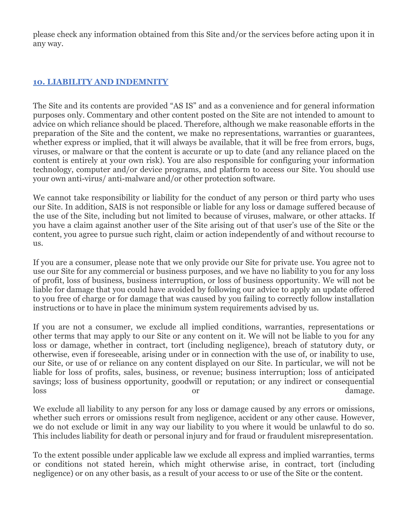please check any information obtained from this Site and/or the services before acting upon it in any way.

# **10. LIABILITY AND INDEMNITY**

The Site and its contents are provided "AS IS" and as a convenience and for general information purposes only. Commentary and other content posted on the Site are not intended to amount to advice on which reliance should be placed. Therefore, although we make reasonable efforts in the preparation of the Site and the content, we make no representations, warranties or guarantees, whether express or implied, that it will always be available, that it will be free from errors, bugs, viruses, or malware or that the content is accurate or up to date (and any reliance placed on the content is entirely at your own risk). You are also responsible for configuring your information technology, computer and/or device programs, and platform to access our Site. You should use your own anti-virus/ anti-malware and/or other protection software.

We cannot take responsibility or liability for the conduct of any person or third party who uses our Site. In addition, SAIS is not responsible or liable for any loss or damage suffered because of the use of the Site, including but not limited to because of viruses, malware, or other attacks. If you have a claim against another user of the Site arising out of that user's use of the Site or the content, you agree to pursue such right, claim or action independently of and without recourse to us.

If you are a consumer, please note that we only provide our Site for private use. You agree not to use our Site for any commercial or business purposes, and we have no liability to you for any loss of profit, loss of business, business interruption, or loss of business opportunity. We will not be liable for damage that you could have avoided by following our advice to apply an update offered to you free of charge or for damage that was caused by you failing to correctly follow installation instructions or to have in place the minimum system requirements advised by us.

If you are not a consumer, we exclude all implied conditions, warranties, representations or other terms that may apply to our Site or any content on it. We will not be liable to you for any loss or damage, whether in contract, tort (including negligence), breach of statutory duty, or otherwise, even if foreseeable, arising under or in connection with the use of, or inability to use, our Site, or use of or reliance on any content displayed on our Site. In particular, we will not be liable for loss of profits, sales, business, or revenue; business interruption; loss of anticipated savings; loss of business opportunity, goodwill or reputation; or any indirect or consequential loss damage.

We exclude all liability to any person for any loss or damage caused by any errors or omissions, whether such errors or omissions result from negligence, accident or any other cause. However, we do not exclude or limit in any way our liability to you where it would be unlawful to do so. This includes liability for death or personal injury and for fraud or fraudulent misrepresentation.

To the extent possible under applicable law we exclude all express and implied warranties, terms or conditions not stated herein, which might otherwise arise, in contract, tort (including negligence) or on any other basis, as a result of your access to or use of the Site or the content.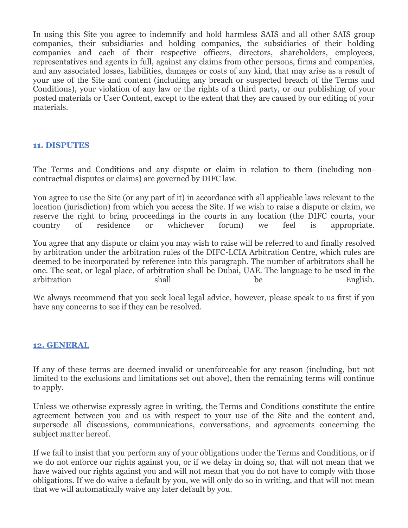In using this Site you agree to indemnify and hold harmless SAIS and all other SAIS group companies, their subsidiaries and holding companies, the subsidiaries of their holding companies and each of their respective officers, directors, shareholders, employees, representatives and agents in full, against any claims from other persons, firms and companies, and any associated losses, liabilities, damages or costs of any kind, that may arise as a result of your use of the Site and content (including any breach or suspected breach of the Terms and Conditions), your violation of any law or the rights of a third party, or our publishing of your posted materials or User Content, except to the extent that they are caused by our editing of your materials.

#### **11. DISPUTES**

The Terms and Conditions and any dispute or claim in relation to them (including noncontractual disputes or claims) are governed by DIFC law.

You agree to use the Site (or any part of it) in accordance with all applicable laws relevant to the location (jurisdiction) from which you access the Site. If we wish to raise a dispute or claim, we reserve the right to bring proceedings in the courts in any location (the DIFC courts, your country of residence or whichever forum) we feel is appropriate.

You agree that any dispute or claim you may wish to raise will be referred to and finally resolved by arbitration under the arbitration rules of the DIFC-LCIA Arbitration Centre, which rules are deemed to be incorporated by reference into this paragraph. The number of arbitrators shall be one. The seat, or legal place, of arbitration shall be Dubai, UAE. The language to be used in the arbitration shall be English.

We always recommend that you seek local legal advice, however, please speak to us first if you have any concerns to see if they can be resolved.

#### **12. GENERAL**

If any of these terms are deemed invalid or unenforceable for any reason (including, but not limited to the exclusions and limitations set out above), then the remaining terms will continue to apply.

Unless we otherwise expressly agree in writing, the Terms and Conditions constitute the entire agreement between you and us with respect to your use of the Site and the content and, supersede all discussions, communications, conversations, and agreements concerning the subject matter hereof.

If we fail to insist that you perform any of your obligations under the Terms and Conditions, or if we do not enforce our rights against you, or if we delay in doing so, that will not mean that we have waived our rights against you and will not mean that you do not have to comply with those obligations. If we do waive a default by you, we will only do so in writing, and that will not mean that we will automatically waive any later default by you.